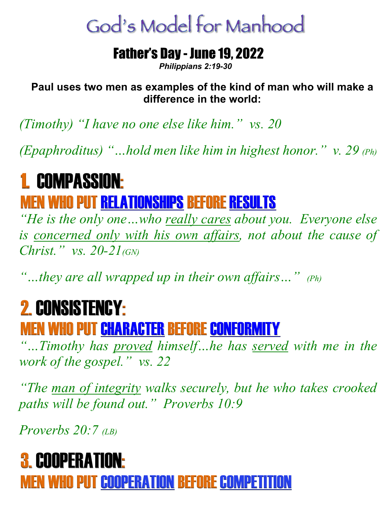# God's Model for Manhood

#### Father's Day - June 19, 2022

*Philippians 2:19-30*

**Paul uses two men as examples of the kind of man who will make a difference in the world:**

*(Timothy) "I have no one else like him." vs. 20*

*(Epaphroditus) "…hold men like him in highest honor." v. 29 (Ph)* 

## 1. COMPASSION: **MEN WHO PUT RELATIONSHIPS BEFORE RESULTS**

*"He is the only one…who really cares about you. Everyone else*  is concerned only with his own affairs, not about the cause of *Christ." vs. 20-21(GN)*

*"…they are all wrapped up in their own affairs…" (Ph)*

## 2. CONSISTENCY:

### MEN WHO PUT CHARACTER BEFORE CONFORMITY

*"…Timothy has proved himself…he has served with me in the work of the gospel." vs. 22*

*"The man of integrity walks securely, but he who takes crooked paths will be found out." Proverbs 10:9*

*Proverbs* 20:7  $\alpha$ <sub>*B*)</sub>

### 3. COOPERATION: MEN WHO PUT COOPERATION BEFORE COMPETITION